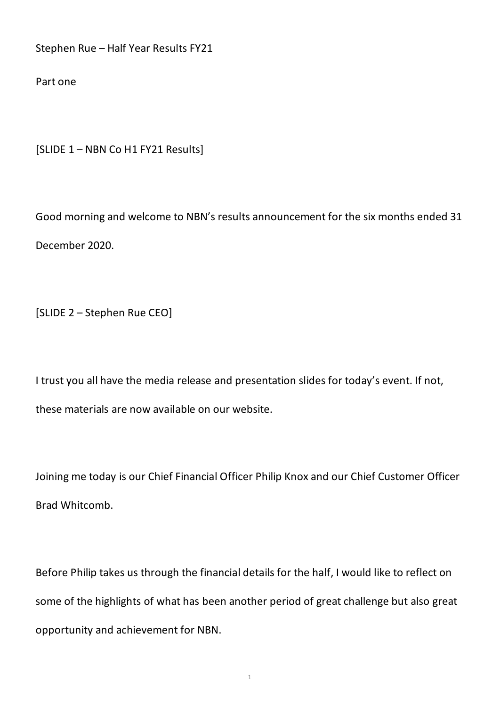Stephen Rue – Half Year Results FY21

Part one

[SLIDE 1 – NBN Co H1 FY21 Results]

Good morning and welcome to NBN's results announcement for the six months ended 31 December 2020.

[SLIDE 2 – Stephen Rue CEO]

I trust you all have the media release and presentation slides for today's event. If not, these materials are now available on our website.

Joining me today is our Chief Financial Officer Philip Knox and our Chief Customer Officer Brad Whitcomb.

Before Philip takes us through the financial details for the half, I would like to reflect on some of the highlights of what has been another period of great challenge but also great opportunity and achievement for NBN.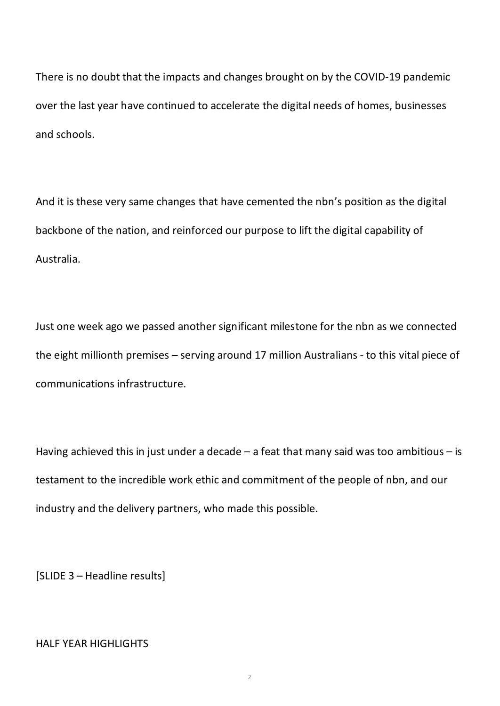There is no doubt that the impacts and changes brought on by the COVID-19 pandemic over the last year have continued to accelerate the digital needs of homes, businesses and schools.

And it is these very same changes that have cemented the nbn's position as the digital backbone of the nation, and reinforced our purpose to lift the digital capability of Australia.

Just one week ago we passed another significant milestone for the nbn as we connected the eight millionth premises – serving around 17 million Australians - to this vital piece of communications infrastructure.

Having achieved this in just under a decade  $-$  a feat that many said was too ambitious  $-$  is testament to the incredible work ethic and commitment of the people of nbn, and our industry and the delivery partners, who made this possible.

[SLIDE 3 – Headline results]

# HALF YEAR HIGHLIGHTS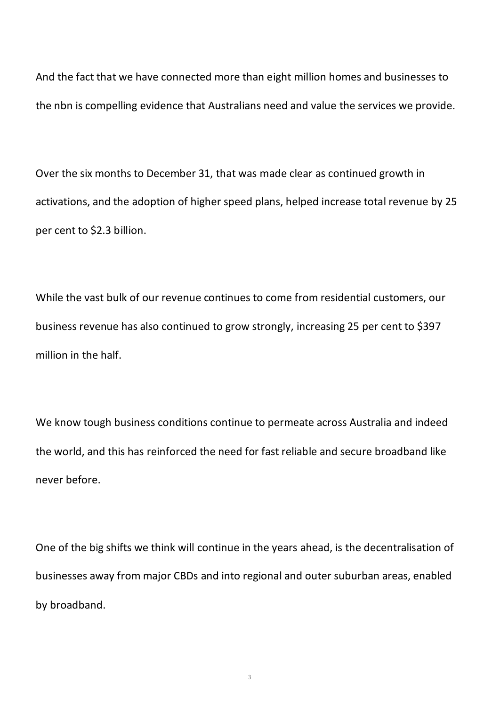And the fact that we have connected more than eight million homes and businesses to the nbn is compelling evidence that Australians need and value the services we provide.

Over the six months to December 31, that was made clear as continued growth in activations, and the adoption of higher speed plans, helped increase total revenue by 25 per cent to \$2.3 billion.

While the vast bulk of our revenue continues to come from residential customers, our business revenue has also continued to grow strongly, increasing 25 per cent to \$397 million in the half.

We know tough business conditions continue to permeate across Australia and indeed the world, and this has reinforced the need for fast reliable and secure broadband like never before.

One of the big shifts we think will continue in the years ahead, is the decentralisation of businesses away from major CBDs and into regional and outer suburban areas, enabled by broadband.

3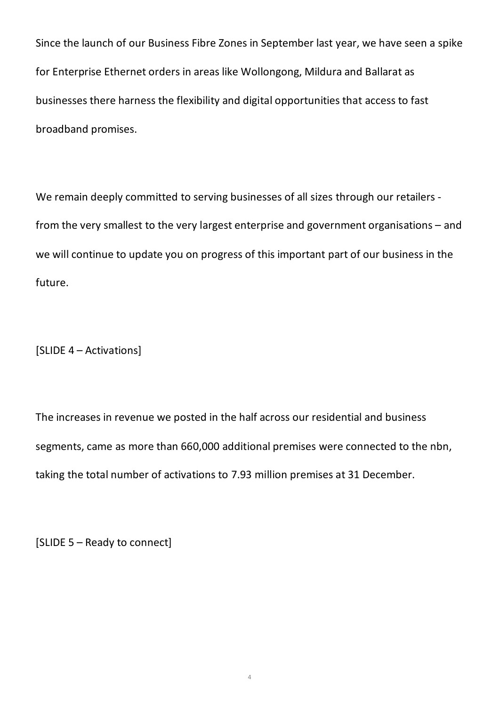Since the launch of our Business Fibre Zones in September last year, we have seen a spike for Enterprise Ethernet orders in areas like Wollongong, Mildura and Ballarat as businesses there harness the flexibility and digital opportunities that access to fast broadband promises.

We remain deeply committed to serving businesses of all sizes through our retailers from the very smallest to the very largest enterprise and government organisations – and we will continue to update you on progress of this important part of our business in the future.

[SLIDE 4 – Activations]

The increases in revenue we posted in the half across our residential and business segments, came as more than 660,000 additional premises were connected to the nbn, taking the total number of activations to 7.93 million premises at 31 December.

[SLIDE 5 – Ready to connect]

4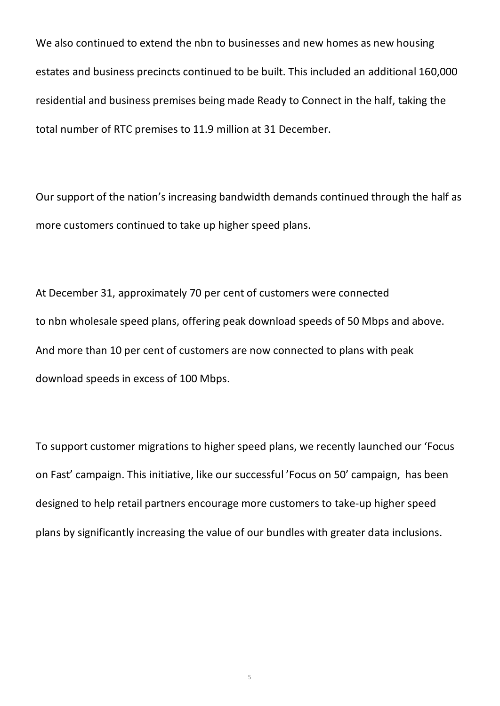We also continued to extend the nbn to businesses and new homes as new housing estates and business precincts continued to be built. This included an additional 160,000 residential and business premises being made Ready to Connect in the half, taking the total number of RTC premises to 11.9 million at 31 December.

Our support of the nation's increasing bandwidth demands continued through the half as more customers continued to take up higher speed plans.

At December 31, approximately 70 per cent of customers were connected to nbn wholesale speed plans, offering peak download speeds of 50 Mbps and above. And more than 10 per cent of customers are now connected to plans with peak download speeds in excess of 100 Mbps.

To support customer migrations to higher speed plans, we recently launched our 'Focus on Fast' campaign. This initiative, like our successful 'Focus on 50' campaign, has been designed to help retail partners encourage more customers to take-up higher speed plans by significantly increasing the value of our bundles with greater data inclusions.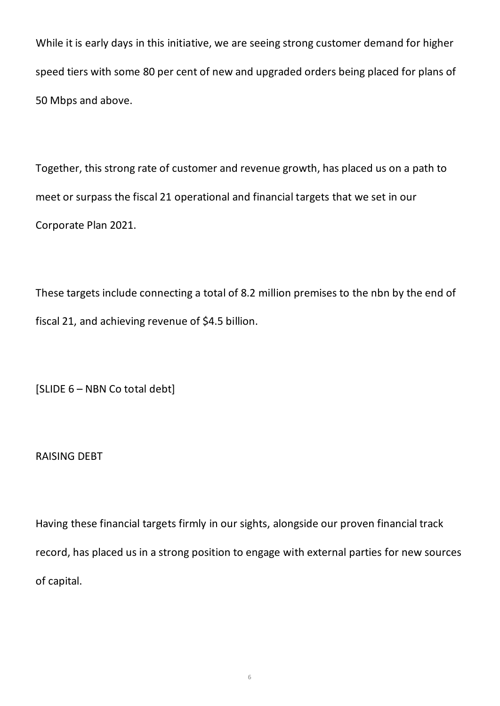While it is early days in this initiative, we are seeing strong customer demand for higher speed tiers with some 80 per cent of new and upgraded orders being placed for plans of 50 Mbps and above.

Together, this strong rate of customer and revenue growth, has placed us on a path to meet or surpass the fiscal 21 operational and financial targets that we set in our Corporate Plan 2021.

These targets include connecting a total of 8.2 million premises to the nbn by the end of fiscal 21, and achieving revenue of \$4.5 billion.

[SLIDE 6 – NBN Co total debt]

RAISING DEBT

Having these financial targets firmly in our sights, alongside our proven financial track record, has placed us in a strong position to engage with external parties for new sources of capital.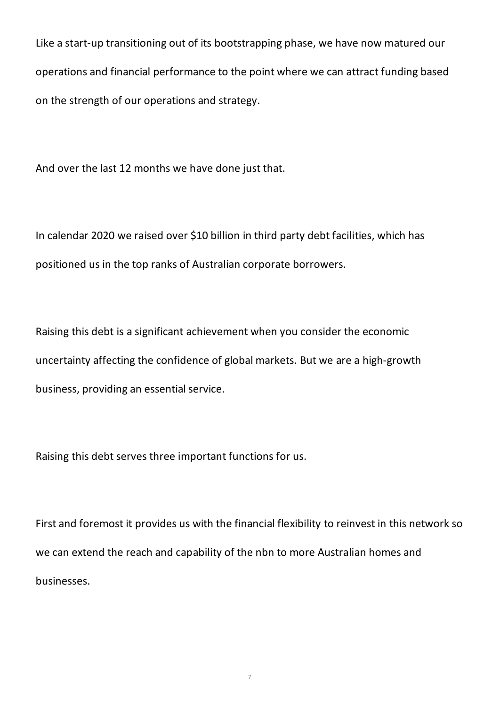Like a start-up transitioning out of its bootstrapping phase, we have now matured our operations and financial performance to the point where we can attract funding based on the strength of our operations and strategy.

And over the last 12 months we have done just that.

In calendar 2020 we raised over \$10 billion in third party debt facilities, which has positioned us in the top ranks of Australian corporate borrowers.

Raising this debt is a significant achievement when you consider the economic uncertainty affecting the confidence of global markets. But we are a high-growth business, providing an essential service.

Raising this debt serves three important functions for us.

First and foremost it provides us with the financial flexibility to reinvest in this network so we can extend the reach and capability of the nbn to more Australian homes and businesses.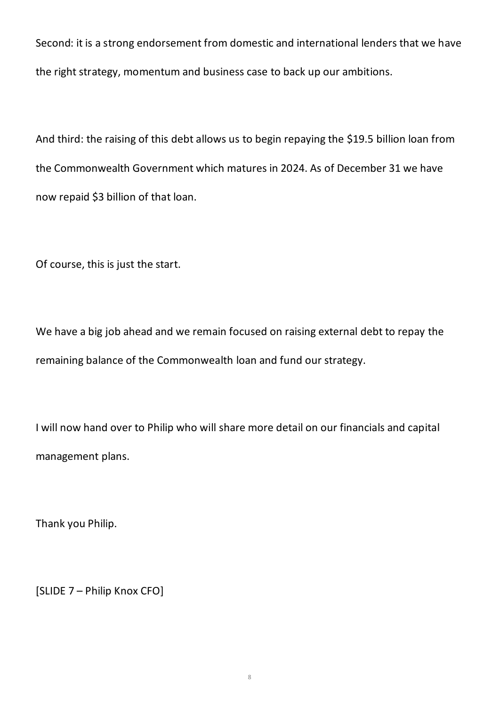Second: it is a strong endorsement from domestic and international lenders that we have the right strategy, momentum and business case to back up our ambitions.

And third: the raising of this debt allows us to begin repaying the \$19.5 billion loan from the Commonwealth Government which matures in 2024. As of December 31 we have now repaid \$3 billion of that loan.

Of course, this is just the start.

We have a big job ahead and we remain focused on raising external debt to repay the remaining balance of the Commonwealth loan and fund our strategy.

I will now hand over to Philip who will share more detail on our financials and capital management plans.

Thank you Philip.

[SLIDE 7 – Philip Knox CFO]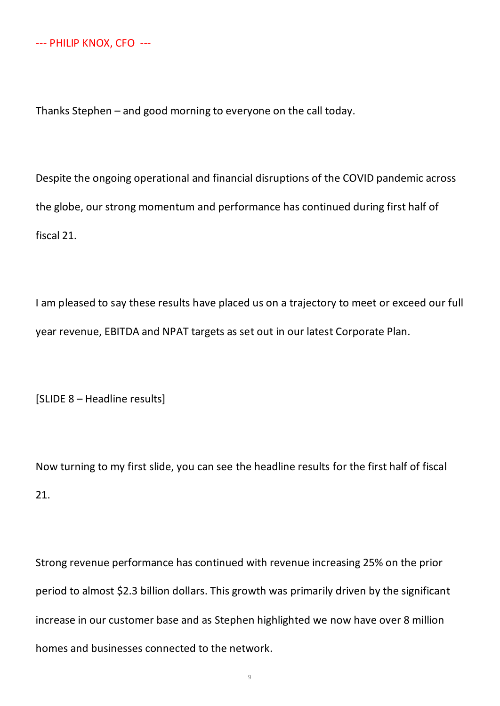Thanks Stephen – and good morning to everyone on the call today.

Despite the ongoing operational and financial disruptions of the COVID pandemic across the globe, our strong momentum and performance has continued during first half of fiscal 21.

I am pleased to say these results have placed us on a trajectory to meet or exceed our full year revenue, EBITDA and NPAT targets as set out in our latest Corporate Plan.

[SLIDE 8 – Headline results]

Now turning to my first slide, you can see the headline results for the first half of fiscal 21.

Strong revenue performance has continued with revenue increasing 25% on the prior period to almost \$2.3 billion dollars. This growth was primarily driven by the significant increase in our customer base and as Stephen highlighted we now have over 8 million homes and businesses connected to the network.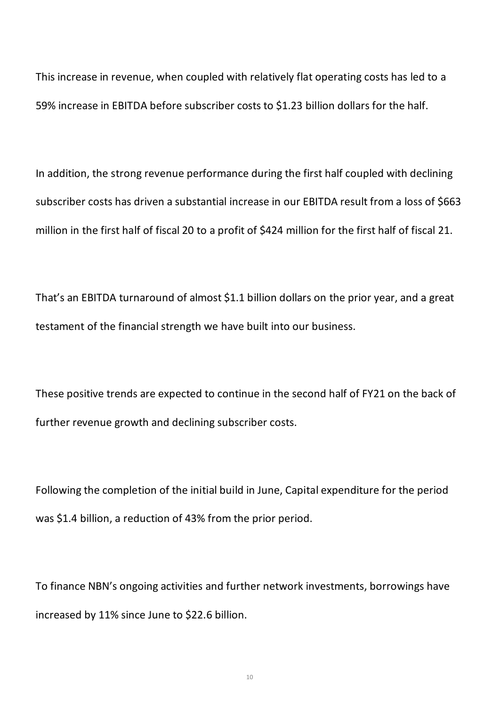This increase in revenue, when coupled with relatively flat operating costs has led to a 59% increase in EBITDA before subscriber costs to \$1.23 billion dollars for the half.

In addition, the strong revenue performance during the first half coupled with declining subscriber costs has driven a substantial increase in our EBITDA result from a loss of \$663 million in the first half of fiscal 20 to a profit of \$424 million for the first half of fiscal 21.

That's an EBITDA turnaround of almost \$1.1 billion dollars on the prior year, and a great testament of the financial strength we have built into our business.

These positive trends are expected to continue in the second half of FY21 on the back of further revenue growth and declining subscriber costs.

Following the completion of the initial build in June, Capital expenditure for the period was \$1.4 billion, a reduction of 43% from the prior period.

To finance NBN's ongoing activities and further network investments, borrowings have increased by 11% since June to \$22.6 billion.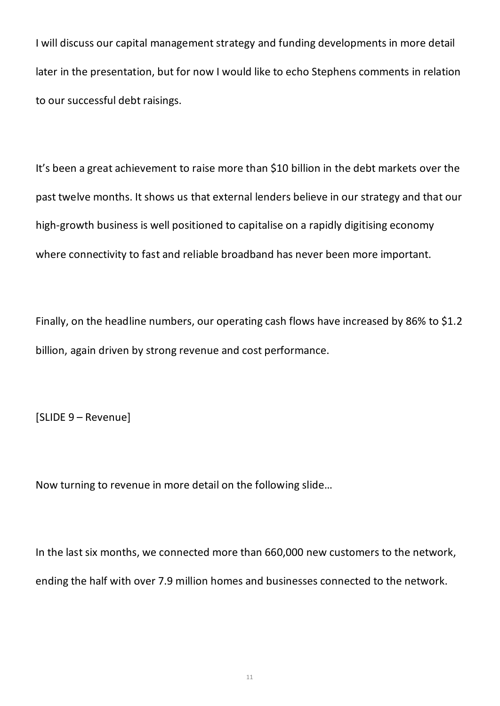I will discuss our capital management strategy and funding developments in more detail later in the presentation, but for now I would like to echo Stephens comments in relation to our successful debt raisings.

It's been a great achievement to raise more than \$10 billion in the debt markets over the past twelve months. It shows us that external lenders believe in our strategy and that our high-growth business is well positioned to capitalise on a rapidly digitising economy where connectivity to fast and reliable broadband has never been more important.

Finally, on the headline numbers, our operating cash flows have increased by 86% to \$1.2 billion, again driven by strong revenue and cost performance.

[SLIDE 9 – Revenue]

Now turning to revenue in more detail on the following slide…

In the last six months, we connected more than 660,000 new customers to the network, ending the half with over 7.9 million homes and businesses connected to the network.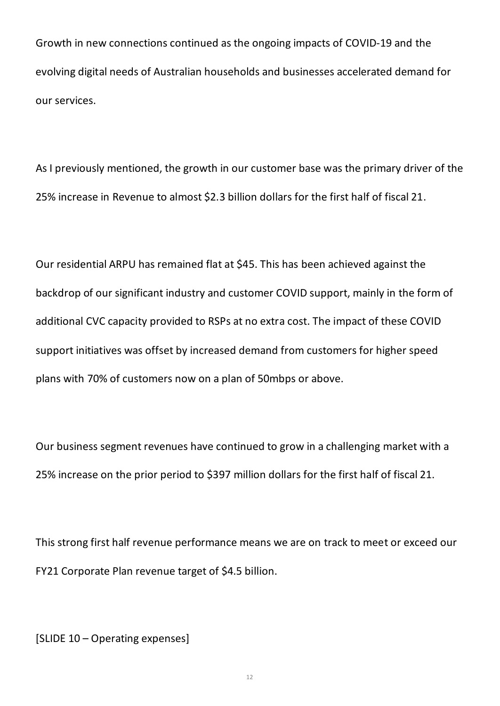Growth in new connections continued as the ongoing impacts of COVID-19 and the evolving digital needs of Australian households and businesses accelerated demand for our services.

As I previously mentioned, the growth in our customer base was the primary driver of the 25% increase in Revenue to almost \$2.3 billion dollars for the first half of fiscal 21.

Our residential ARPU has remained flat at \$45. This has been achieved against the backdrop of our significant industry and customer COVID support, mainly in the form of additional CVC capacity provided to RSPs at no extra cost. The impact of these COVID support initiatives was offset by increased demand from customers for higher speed plans with 70% of customers now on a plan of 50mbps or above.

Our business segment revenues have continued to grow in a challenging market with a 25% increase on the prior period to \$397 million dollars for the first half of fiscal 21.

This strong first half revenue performance means we are on track to meet or exceed our FY21 Corporate Plan revenue target of \$4.5 billion.

[SLIDE 10 – Operating expenses]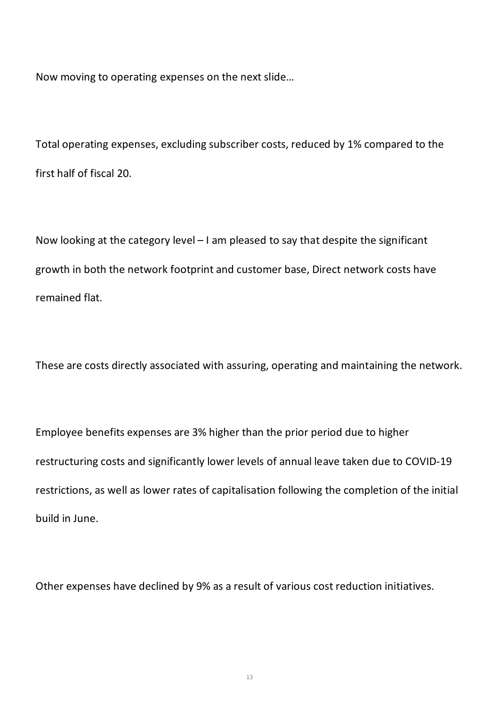Now moving to operating expenses on the next slide…

Total operating expenses, excluding subscriber costs, reduced by 1% compared to the first half of fiscal 20.

Now looking at the category level – I am pleased to say that despite the significant growth in both the network footprint and customer base, Direct network costs have remained flat.

These are costs directly associated with assuring, operating and maintaining the network.

Employee benefits expenses are 3% higher than the prior period due to higher restructuring costs and significantly lower levels of annual leave taken due to COVID-19 restrictions, as well as lower rates of capitalisation following the completion of the initial build in June.

Other expenses have declined by 9% as a result of various cost reduction initiatives.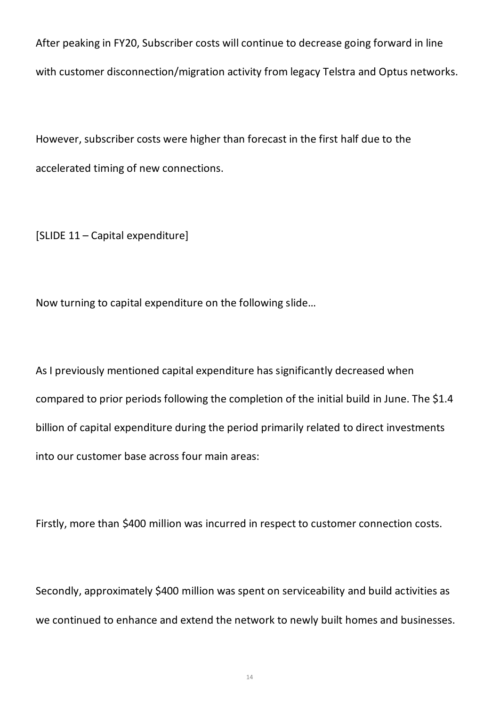After peaking in FY20, Subscriber costs will continue to decrease going forward in line with customer disconnection/migration activity from legacy Telstra and Optus networks.

However, subscriber costs were higher than forecast in the first half due to the accelerated timing of new connections.

[SLIDE 11 – Capital expenditure]

Now turning to capital expenditure on the following slide…

As I previously mentioned capital expenditure has significantly decreased when compared to prior periods following the completion of the initial build in June. The \$1.4 billion of capital expenditure during the period primarily related to direct investments into our customer base across four main areas:

Firstly, more than \$400 million was incurred in respect to customer connection costs.

Secondly, approximately \$400 million was spent on serviceability and build activities as we continued to enhance and extend the network to newly built homes and businesses.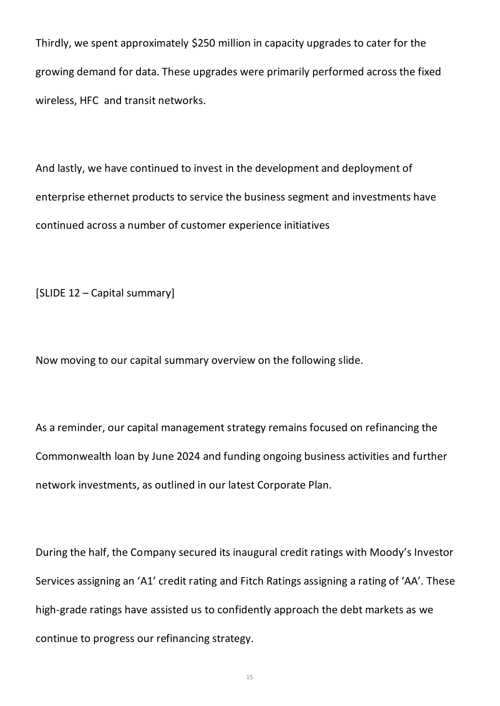Thirdly, we spent approximately \$250 million in capacity upgrades to cater for the growing demand for data. These upgrades were primarily performed across the fixed wireless, HFC and transit networks.

And lastly, we have continued to invest in the development and deployment of enterprise ethernet products to service the business segment and investments have continued across a number of customer experience initiatives

[SLIDE 12 – Capital summary]

Now moving to our capital summary overview on the following slide.

As a reminder, our capital management strategy remains focused on refinancing the Commonwealth loan by June 2024 and funding ongoing business activities and further network investments, as outlined in our latest Corporate Plan.

During the half, the Company secured its inaugural credit ratings with Moody's Investor Services assigning an 'A1' credit rating and Fitch Ratings assigning a rating of 'AA'. These high-grade ratings have assisted us to confidently approach the debt markets as we continue to progress our refinancing strategy.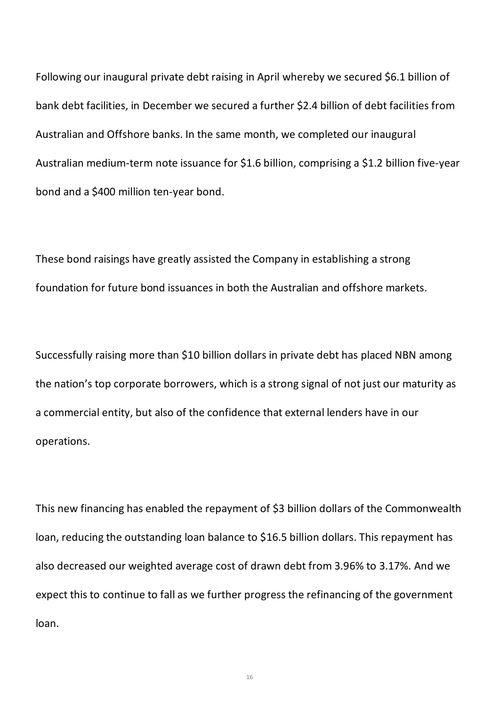Following our inaugural private debt raising in April whereby we secured \$6.1 billion of bank debt facilities, in December we secured a further \$2.4 billion of debt facilities from Australian and Offshore banks. In the same month, we completed our inaugural Australian medium-term note issuance for \$1.6 billion, comprising a \$1.2 billion five-year bond and a \$400 million ten-year bond.

These bond raisings have greatly assisted the Company in establishing a strong foundation for future bond issuances in both the Australian and offshore markets.

Successfully raising more than \$10 billion dollars in private debt has placed NBN among the nation's top corporate borrowers, which is a strong signal of not just our maturity as a commercial entity, but also of the confidence that external lenders have in our operations.

This new financing has enabled the repayment of \$3 billion dollars of the Commonwealth loan, reducing the outstanding loan balance to \$16.5 billion dollars. This repayment has also decreased our weighted average cost of drawn debt from 3.96% to 3.17%. And we expect this to continue to fall as we further progress the refinancing of the government loan.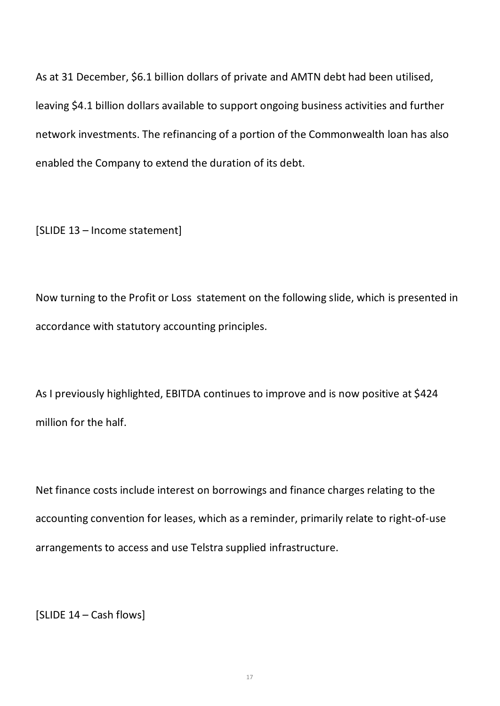As at 31 December, \$6.1 billion dollars of private and AMTN debt had been utilised, leaving \$4.1 billion dollars available to support ongoing business activities and further network investments. The refinancing of a portion of the Commonwealth loan has also enabled the Company to extend the duration of its debt.

[SLIDE 13 – Income statement]

Now turning to the Profit or Loss statement on the following slide, which is presented in accordance with statutory accounting principles.

As I previously highlighted, EBITDA continues to improve and is now positive at \$424 million for the half.

Net finance costs include interest on borrowings and finance charges relating to the accounting convention for leases, which as a reminder, primarily relate to right-of-use arrangements to access and use Telstra supplied infrastructure.

[SLIDE 14 – Cash flows]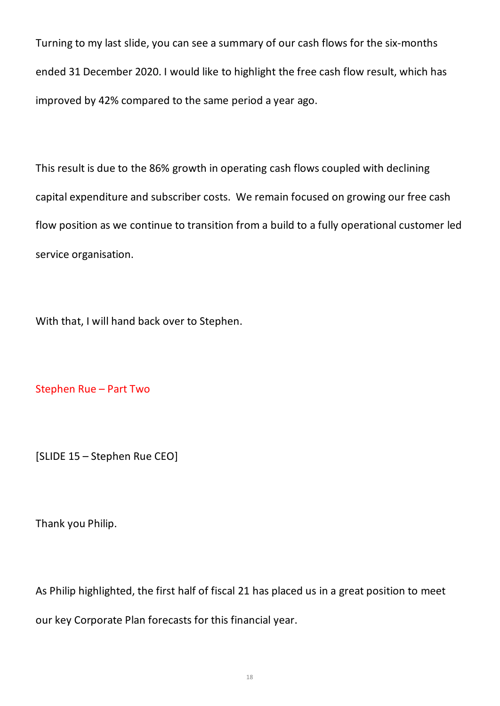Turning to my last slide, you can see a summary of our cash flows for the six-months ended 31 December 2020. I would like to highlight the free cash flow result, which has improved by 42% compared to the same period a year ago.

This result is due to the 86% growth in operating cash flows coupled with declining capital expenditure and subscriber costs. We remain focused on growing our free cash flow position as we continue to transition from a build to a fully operational customer led service organisation.

With that, I will hand back over to Stephen.

Stephen Rue – Part Two

[SLIDE 15 – Stephen Rue CEO]

Thank you Philip.

As Philip highlighted, the first half of fiscal 21 has placed us in a great position to meet our key Corporate Plan forecasts for this financial year.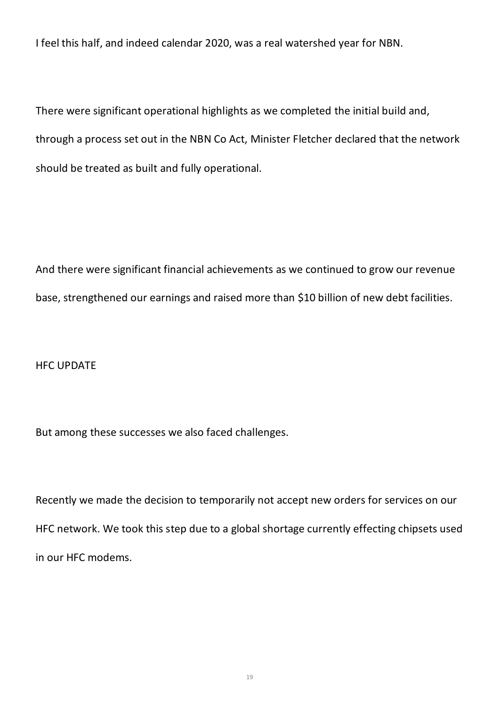I feel this half, and indeed calendar 2020, was a real watershed year for NBN.

There were significant operational highlights as we completed the initial build and, through a process set out in the NBN Co Act, Minister Fletcher declared that the network should be treated as built and fully operational.

And there were significant financial achievements as we continued to grow our revenue base, strengthened our earnings and raised more than \$10 billion of new debt facilities.

# HFC UPDATE

But among these successes we also faced challenges.

Recently we made the decision to temporarily not accept new orders for services on our HFC network. We took this step due to a global shortage currently effecting chipsets used in our HFC modems.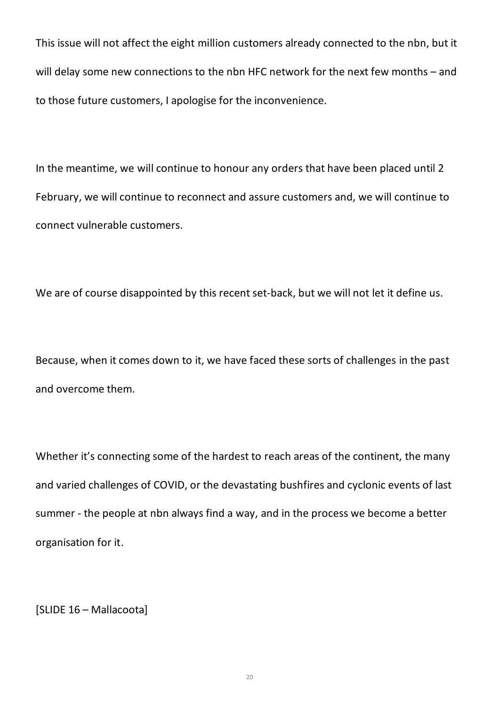This issue will not affect the eight million customers already connected to the nbn, but it will delay some new connections to the nbn HFC network for the next few months – and to those future customers, I apologise for the inconvenience.

In the meantime, we will continue to honour any orders that have been placed until 2 February, we will continue to reconnect and assure customers and, we will continue to connect vulnerable customers.

We are of course disappointed by this recent set-back, but we will not let it define us.

Because, when it comes down to it, we have faced these sorts of challenges in the past and overcome them.

Whether it's connecting some of the hardest to reach areas of the continent, the many and varied challenges of COVID, or the devastating bushfires and cyclonic events of last summer - the people at nbn always find a way, and in the process we become a better organisation for it.

[SLIDE 16 – Mallacoota]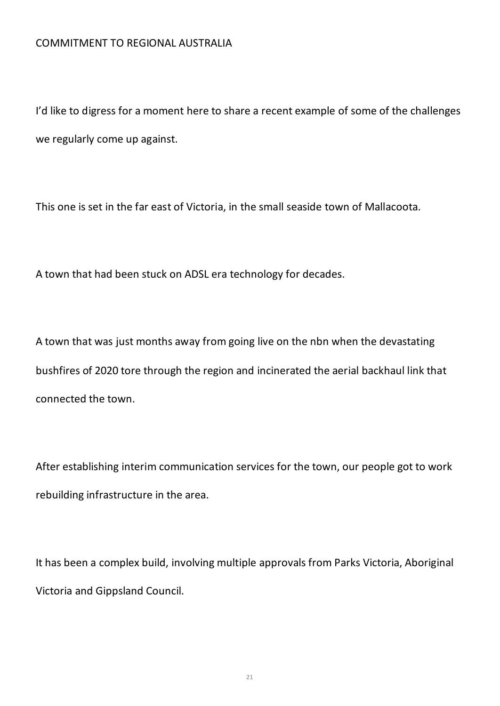### COMMITMENT TO REGIONAL AUSTRALIA

I'd like to digress for a moment here to share a recent example of some of the challenges we regularly come up against.

This one is set in the far east of Victoria, in the small seaside town of Mallacoota.

A town that had been stuck on ADSL era technology for decades.

A town that was just months away from going live on the nbn when the devastating bushfires of 2020 tore through the region and incinerated the aerial backhaul link that connected the town.

After establishing interim communication services for the town, our people got to work rebuilding infrastructure in the area.

It has been a complex build, involving multiple approvals from Parks Victoria, Aboriginal Victoria and Gippsland Council.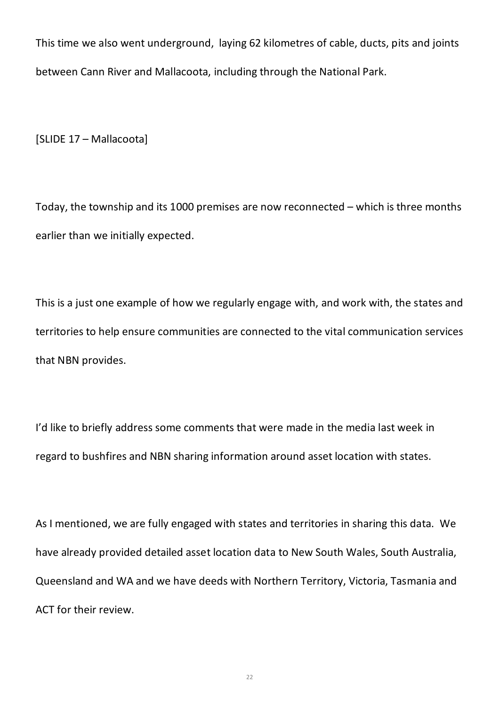This time we also went underground, laying 62 kilometres of cable, ducts, pits and joints between Cann River and Mallacoota, including through the National Park.

[SLIDE 17 – Mallacoota]

Today, the township and its 1000 premises are now reconnected – which is three months earlier than we initially expected.

This is a just one example of how we regularly engage with, and work with, the states and territories to help ensure communities are connected to the vital communication services that NBN provides.

I'd like to briefly address some comments that were made in the media last week in regard to bushfires and NBN sharing information around asset location with states.

As I mentioned, we are fully engaged with states and territories in sharing this data. We have already provided detailed asset location data to New South Wales, South Australia, Queensland and WA and we have deeds with Northern Territory, Victoria, Tasmania and ACT for their review.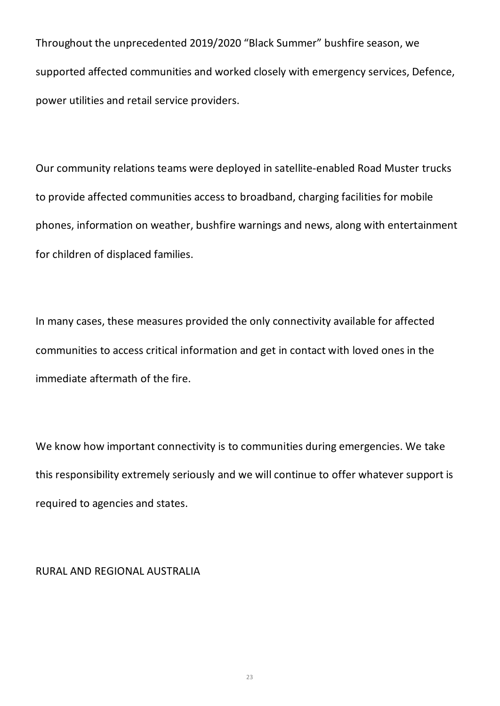Throughout the unprecedented 2019/2020 "Black Summer" bushfire season, we supported affected communities and worked closely with emergency services, Defence, power utilities and retail service providers.

Our community relations teams were deployed in satellite-enabled Road Muster trucks to provide affected communities access to broadband, charging facilities for mobile phones, information on weather, bushfire warnings and news, along with entertainment for children of displaced families.

In many cases, these measures provided the only connectivity available for affected communities to access critical information and get in contact with loved ones in the immediate aftermath of the fire.

We know how important connectivity is to communities during emergencies. We take this responsibility extremely seriously and we will continue to offer whatever support is required to agencies and states.

#### RURAL AND REGIONAL AUSTRALIA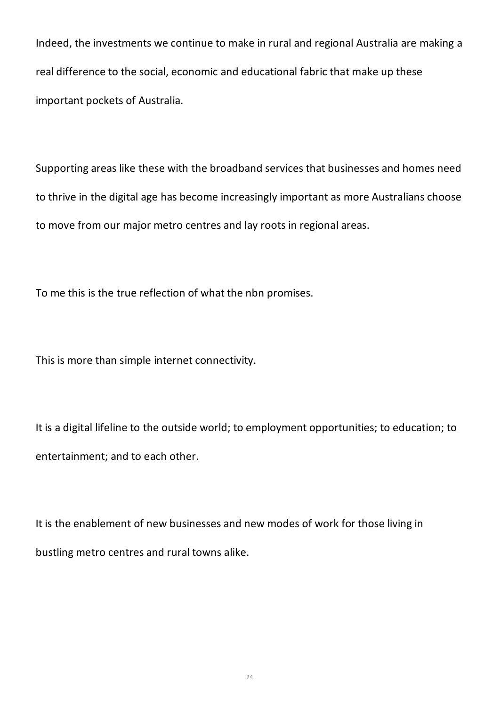Indeed, the investments we continue to make in rural and regional Australia are making a real difference to the social, economic and educational fabric that make up these important pockets of Australia.

Supporting areas like these with the broadband services that businesses and homes need to thrive in the digital age has become increasingly important as more Australians choose to move from our major metro centres and lay roots in regional areas.

To me this is the true reflection of what the nbn promises.

This is more than simple internet connectivity.

It is a digital lifeline to the outside world; to employment opportunities; to education; to entertainment; and to each other.

It is the enablement of new businesses and new modes of work for those living in bustling metro centres and rural towns alike.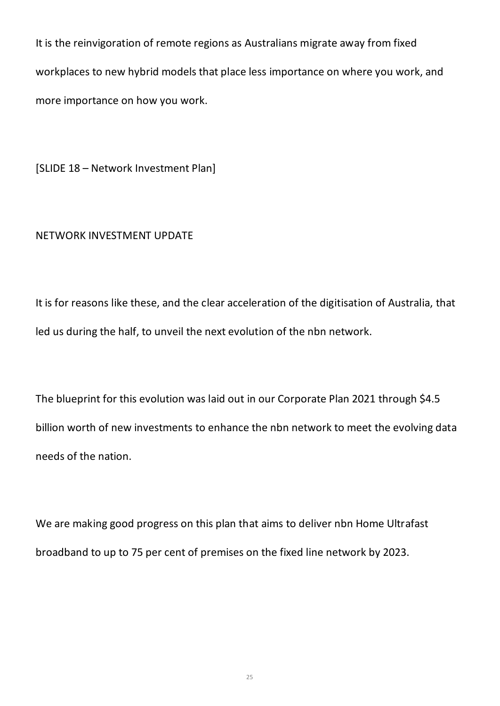It is the reinvigoration of remote regions as Australians migrate away from fixed workplaces to new hybrid models that place less importance on where you work, and more importance on how you work.

[SLIDE 18 – Network Investment Plan]

### NETWORK INVESTMENT UPDATE

It is for reasons like these, and the clear acceleration of the digitisation of Australia, that led us during the half, to unveil the next evolution of the nbn network.

The blueprint for this evolution was laid out in our Corporate Plan 2021 through \$4.5 billion worth of new investments to enhance the nbn network to meet the evolving data needs of the nation.

We are making good progress on this plan that aims to deliver nbn Home Ultrafast broadband to up to 75 per cent of premises on the fixed line network by 2023.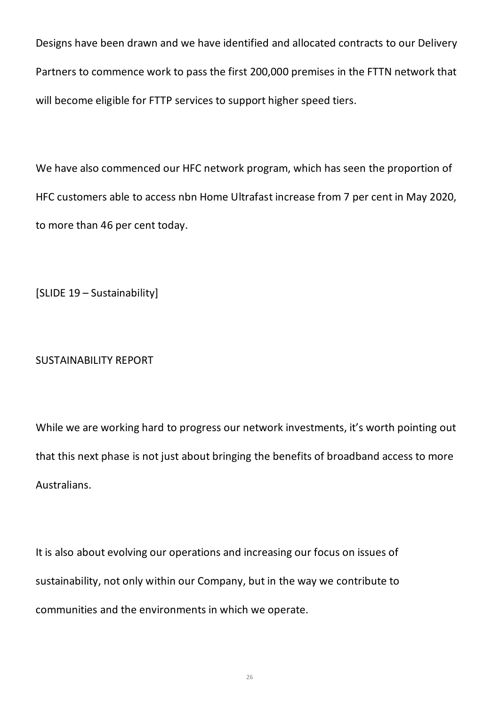Designs have been drawn and we have identified and allocated contracts to our Delivery Partners to commence work to pass the first 200,000 premises in the FTTN network that will become eligible for FTTP services to support higher speed tiers.

We have also commenced our HFC network program, which has seen the proportion of HFC customers able to access nbn Home Ultrafast increase from 7 per cent in May 2020, to more than 46 per cent today.

[SLIDE 19 – Sustainability]

# SUSTAINABILITY REPORT

While we are working hard to progress our network investments, it's worth pointing out that this next phase is not just about bringing the benefits of broadband access to more Australians.

It is also about evolving our operations and increasing our focus on issues of sustainability, not only within our Company, but in the way we contribute to communities and the environments in which we operate.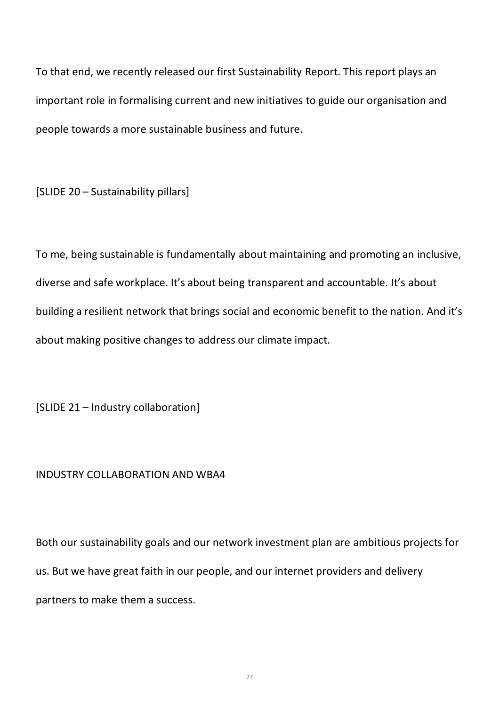To that end, we recently released our first Sustainability Report. This report plays an important role in formalising current and new initiatives to guide our organisation and people towards a more sustainable business and future.

[SLIDE 20 – Sustainability pillars]

To me, being sustainable is fundamentally about maintaining and promoting an inclusive, diverse and safe workplace. It's about being transparent and accountable. It's about building a resilient network that brings social and economic benefit to the nation. And it's about making positive changes to address our climate impact.

[SLIDE 21 – Industry collaboration]

# INDUSTRY COLLABORATION AND WBA4

Both our sustainability goals and our network investment plan are ambitious projects for us. But we have great faith in our people, and our internet providers and delivery partners to make them a success.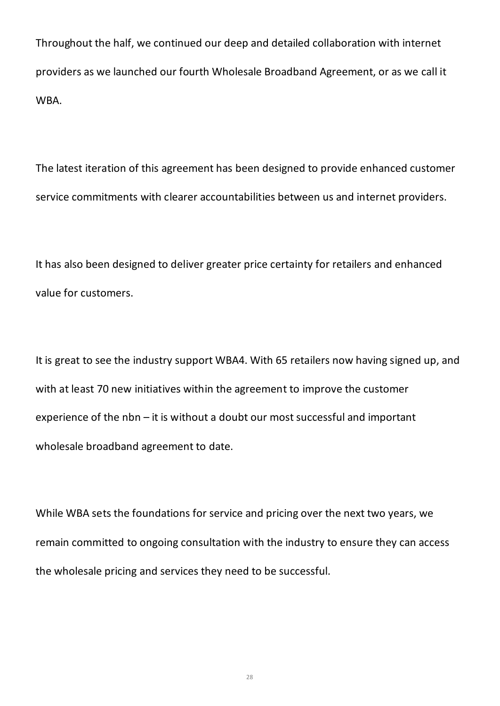Throughout the half, we continued our deep and detailed collaboration with internet providers as we launched our fourth Wholesale Broadband Agreement, or as we call it WBA.

The latest iteration of this agreement has been designed to provide enhanced customer service commitments with clearer accountabilities between us and internet providers.

It has also been designed to deliver greater price certainty for retailers and enhanced value for customers.

It is great to see the industry support WBA4. With 65 retailers now having signed up, and with at least 70 new initiatives within the agreement to improve the customer experience of the nbn – it is without a doubt our most successful and important wholesale broadband agreement to date.

While WBA sets the foundations for service and pricing over the next two years, we remain committed to ongoing consultation with the industry to ensure they can access the wholesale pricing and services they need to be successful.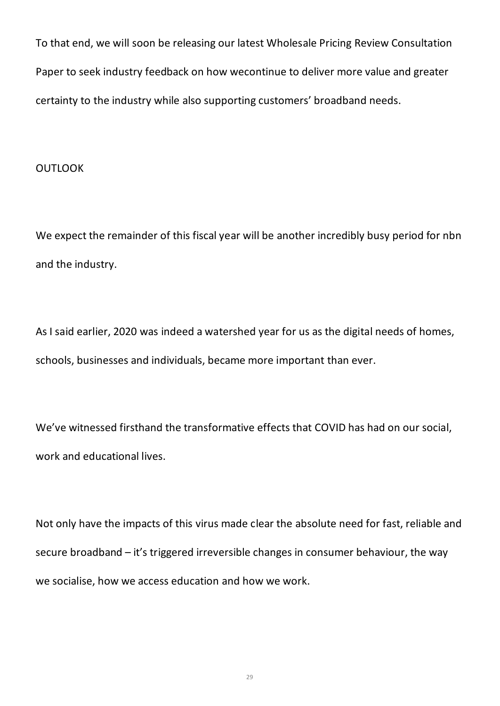To that end, we will soon be releasing our latest Wholesale Pricing Review Consultation Paper to seek industry feedback on how wecontinue to deliver more value and greater certainty to the industry while also supporting customers' broadband needs.

#### **OUTLOOK**

We expect the remainder of this fiscal year will be another incredibly busy period for nbn and the industry.

As I said earlier, 2020 was indeed a watershed year for us as the digital needs of homes, schools, businesses and individuals, became more important than ever.

We've witnessed firsthand the transformative effects that COVID has had on our social, work and educational lives.

Not only have the impacts of this virus made clear the absolute need for fast, reliable and secure broadband – it's triggered irreversible changes in consumer behaviour, the way we socialise, how we access education and how we work.